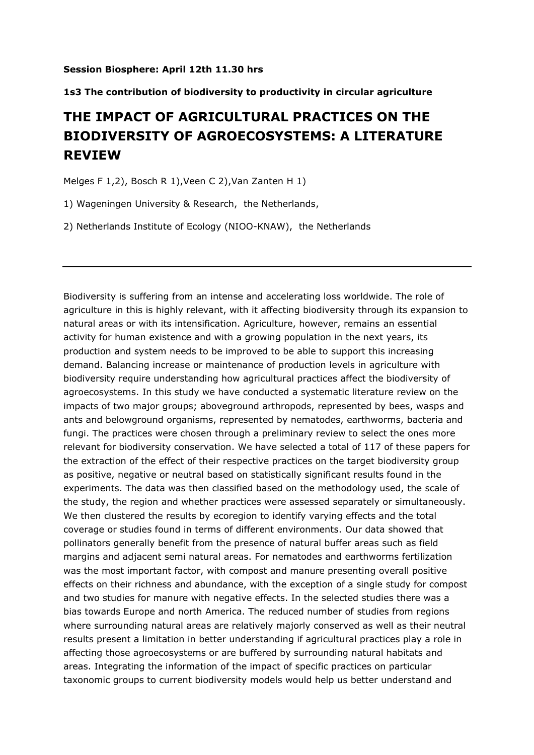## **Session Biosphere: April 12th 11.30 hrs**

## **1s3 The contribution of biodiversity to productivity in circular agriculture**

## **THE IMPACT OF AGRICULTURAL PRACTICES ON THE BIODIVERSITY OF AGROECOSYSTEMS: A LITERATURE REVIEW**

Melges F 1,2), Bosch R 1),Veen C 2),Van Zanten H 1)

1) Wageningen University & Research, the Netherlands,

2) Netherlands Institute of Ecology (NIOO-KNAW), the Netherlands

Biodiversity is suffering from an intense and accelerating loss worldwide. The role of agriculture in this is highly relevant, with it affecting biodiversity through its expansion to natural areas or with its intensification. Agriculture, however, remains an essential activity for human existence and with a growing population in the next years, its production and system needs to be improved to be able to support this increasing demand. Balancing increase or maintenance of production levels in agriculture with biodiversity require understanding how agricultural practices affect the biodiversity of agroecosystems. In this study we have conducted a systematic literature review on the impacts of two major groups; aboveground arthropods, represented by bees, wasps and ants and belowground organisms, represented by nematodes, earthworms, bacteria and fungi. The practices were chosen through a preliminary review to select the ones more relevant for biodiversity conservation. We have selected a total of 117 of these papers for the extraction of the effect of their respective practices on the target biodiversity group as positive, negative or neutral based on statistically significant results found in the experiments. The data was then classified based on the methodology used, the scale of the study, the region and whether practices were assessed separately or simultaneously. We then clustered the results by ecoregion to identify varying effects and the total coverage or studies found in terms of different environments. Our data showed that pollinators generally benefit from the presence of natural buffer areas such as field margins and adjacent semi natural areas. For nematodes and earthworms fertilization was the most important factor, with compost and manure presenting overall positive effects on their richness and abundance, with the exception of a single study for compost and two studies for manure with negative effects. In the selected studies there was a bias towards Europe and north America. The reduced number of studies from regions where surrounding natural areas are relatively majorly conserved as well as their neutral results present a limitation in better understanding if agricultural practices play a role in affecting those agroecosystems or are buffered by surrounding natural habitats and areas. Integrating the information of the impact of specific practices on particular taxonomic groups to current biodiversity models would help us better understand and